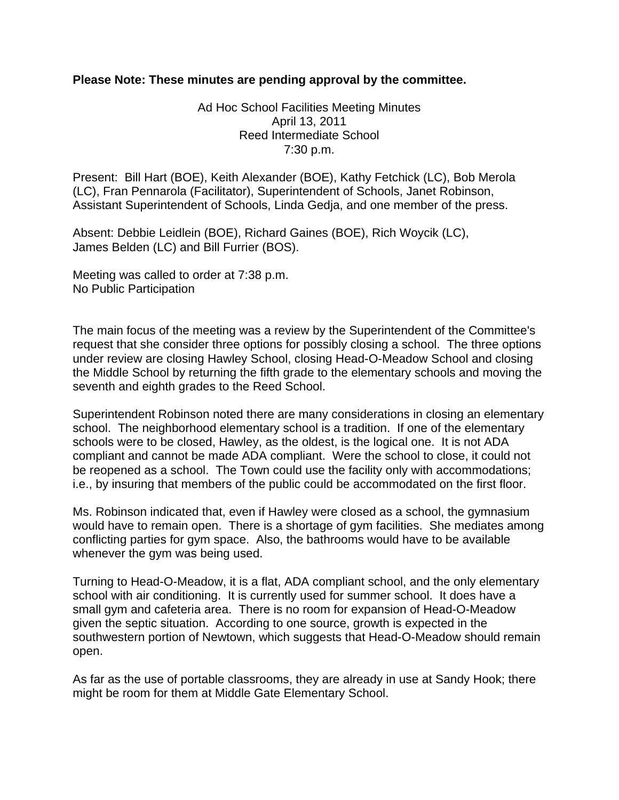## **Please Note: These minutes are pending approval by the committee.**

Ad Hoc School Facilities Meeting Minutes April 13, 2011 Reed Intermediate School 7:30 p.m.

Present: Bill Hart (BOE), Keith Alexander (BOE), Kathy Fetchick (LC), Bob Merola (LC), Fran Pennarola (Facilitator), Superintendent of Schools, Janet Robinson, Assistant Superintendent of Schools, Linda Gedja, and one member of the press.

Absent: Debbie Leidlein (BOE), Richard Gaines (BOE), Rich Woycik (LC), James Belden (LC) and Bill Furrier (BOS).

Meeting was called to order at 7:38 p.m. No Public Participation

The main focus of the meeting was a review by the Superintendent of the Committee's request that she consider three options for possibly closing a school. The three options under review are closing Hawley School, closing Head-O-Meadow School and closing the Middle School by returning the fifth grade to the elementary schools and moving the seventh and eighth grades to the Reed School.

Superintendent Robinson noted there are many considerations in closing an elementary school. The neighborhood elementary school is a tradition. If one of the elementary schools were to be closed, Hawley, as the oldest, is the logical one. It is not ADA compliant and cannot be made ADA compliant. Were the school to close, it could not be reopened as a school. The Town could use the facility only with accommodations; i.e., by insuring that members of the public could be accommodated on the first floor.

Ms. Robinson indicated that, even if Hawley were closed as a school, the gymnasium would have to remain open. There is a shortage of gym facilities. She mediates among conflicting parties for gym space. Also, the bathrooms would have to be available whenever the gym was being used.

Turning to Head-O-Meadow, it is a flat, ADA compliant school, and the only elementary school with air conditioning. It is currently used for summer school. It does have a small gym and cafeteria area. There is no room for expansion of Head-O-Meadow given the septic situation. According to one source, growth is expected in the southwestern portion of Newtown, which suggests that Head-O-Meadow should remain open.

As far as the use of portable classrooms, they are already in use at Sandy Hook; there might be room for them at Middle Gate Elementary School.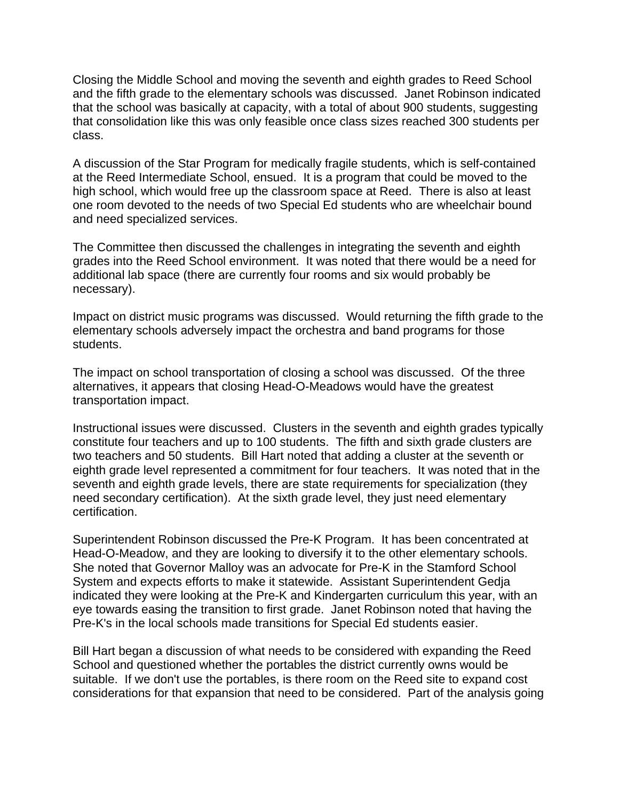Closing the Middle School and moving the seventh and eighth grades to Reed School and the fifth grade to the elementary schools was discussed. Janet Robinson indicated that the school was basically at capacity, with a total of about 900 students, suggesting that consolidation like this was only feasible once class sizes reached 300 students per class.

A discussion of the Star Program for medically fragile students, which is self-contained at the Reed Intermediate School, ensued. It is a program that could be moved to the high school, which would free up the classroom space at Reed. There is also at least one room devoted to the needs of two Special Ed students who are wheelchair bound and need specialized services.

The Committee then discussed the challenges in integrating the seventh and eighth grades into the Reed School environment. It was noted that there would be a need for additional lab space (there are currently four rooms and six would probably be necessary).

Impact on district music programs was discussed. Would returning the fifth grade to the elementary schools adversely impact the orchestra and band programs for those students.

The impact on school transportation of closing a school was discussed. Of the three alternatives, it appears that closing Head-O-Meadows would have the greatest transportation impact.

Instructional issues were discussed. Clusters in the seventh and eighth grades typically constitute four teachers and up to 100 students. The fifth and sixth grade clusters are two teachers and 50 students. Bill Hart noted that adding a cluster at the seventh or eighth grade level represented a commitment for four teachers. It was noted that in the seventh and eighth grade levels, there are state requirements for specialization (they need secondary certification). At the sixth grade level, they just need elementary certification.

Superintendent Robinson discussed the Pre-K Program. It has been concentrated at Head-O-Meadow, and they are looking to diversify it to the other elementary schools. She noted that Governor Malloy was an advocate for Pre-K in the Stamford School System and expects efforts to make it statewide. Assistant Superintendent Gedja indicated they were looking at the Pre-K and Kindergarten curriculum this year, with an eye towards easing the transition to first grade. Janet Robinson noted that having the Pre-K's in the local schools made transitions for Special Ed students easier.

Bill Hart began a discussion of what needs to be considered with expanding the Reed School and questioned whether the portables the district currently owns would be suitable. If we don't use the portables, is there room on the Reed site to expand cost considerations for that expansion that need to be considered. Part of the analysis going